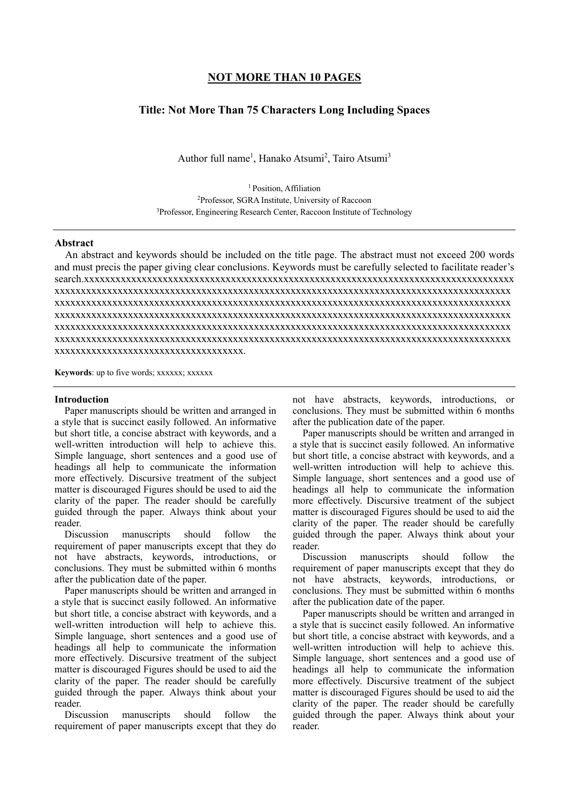## **NOT MORE THAN 10 PAGES**

# **Title: Not More Than 75 Characters Long Including Spaces**

Author full name<sup>1</sup>, Hanako Atsumi<sup>2</sup>, Tairo Atsumi<sup>3</sup>

<sup>1</sup> Position, Affiliation 2 Professor, SGRA Institute, University of Raccoon <sup>3</sup>Professor, Engineering Research Center, Raccoon Institute of Technology

### **Abstract**

An abstract and keywords should be included on the title page. The abstract must not exceed 200 words and must precis the paper giving clear conclusions. Keywords must be carefully selected to facilitate reader's search.xxxxxxxxxxxxxxxxxxxxxxxxxxxxxxxxxxxxxxxxxxxxxxxxxxxxxxxxxxxxxxxxxxxxxxxxxxxxxxxxxx xxxxxxxxxxxxxxxxxxxxxxxxxxxxxxxxxxxxxxxxxxxxxxxxxxxxxxxxxxxxxxxxxxxxxxxxxxxxxxxxxxxxxxx xxxxxxxxxxxxxxxxxxxxxxxxxxxxxxxxxxxxxxxxxxxxxxxxxxxxxxxxxxxxxxxxxxxxxxxxxxxxxxxxxxxxxxx xxxxxxxxxxxxxxxxxxxxxxxxxxxxxxxxxxxxxxxxxxxxxxxxxxxxxxxxxxxxxxxxxxxxxxxxxxxxxxxxxxxxxxx xxxxxxxxxxxxxxxxxxxxxxxxxxxxxxxxxxxxxxxxxxxxxxxxxxxxxxxxxxxxxxxxxxxxxxxxxxxxxxxxxxxxxxx xxxxxxxxxxxxxxxxxxxxxxxxxxxxxxxxxxxxxxxxxxxxxxxxxxxxxxxxxxxxxxxxxxxxxxxxxxxxxxxxxxxxxxx xxxxxxxxxxxxxxxxxxxxxxxxxxxxxxxxxxxx.

Keywords: up to five words; xxxxxx; xxxxxx

#### **Introduction**

Paper manuscripts should be written and arranged in a style that is succinct easily followed. An informative but short title, a concise abstract with keywords, and a well-written introduction will help to achieve this. Simple language, short sentences and a good use of headings all help to communicate the information more effectively. Discursive treatment of the subject matter is discouraged Figures should be used to aid the clarity of the paper. The reader should be carefully guided through the paper. Always think about your reader.

Discussion manuscripts should follow the requirement of paper manuscripts except that they do not have abstracts, keywords, introductions, or conclusions. They must be submitted within 6 months after the publication date of the paper.

Paper manuscripts should be written and arranged in a style that is succinct easily followed. An informative but short title, a concise abstract with keywords, and a well-written introduction will help to achieve this. Simple language, short sentences and a good use of headings all help to communicate the information more effectively. Discursive treatment of the subject matter is discouraged Figures should be used to aid the clarity of the paper. The reader should be carefully guided through the paper. Always think about your reader.

Discussion manuscripts should follow the requirement of paper manuscripts except that they do not have abstracts, keywords, introductions, or conclusions. They must be submitted within 6 months after the publication date of the paper.

Paper manuscripts should be written and arranged in a style that is succinct easily followed. An informative but short title, a concise abstract with keywords, and a well-written introduction will help to achieve this. Simple language, short sentences and a good use of headings all help to communicate the information more effectively. Discursive treatment of the subject matter is discouraged Figures should be used to aid the clarity of the paper. The reader should be carefully guided through the paper. Always think about your reader.

Discussion manuscripts should follow the requirement of paper manuscripts except that they do not have abstracts, keywords, introductions, or conclusions. They must be submitted within 6 months after the publication date of the paper.

Paper manuscripts should be written and arranged in a style that is succinct easily followed. An informative but short title, a concise abstract with keywords, and a well-written introduction will help to achieve this. Simple language, short sentences and a good use of headings all help to communicate the information more effectively. Discursive treatment of the subject matter is discouraged Figures should be used to aid the clarity of the paper. The reader should be carefully guided through the paper. Always think about your reader.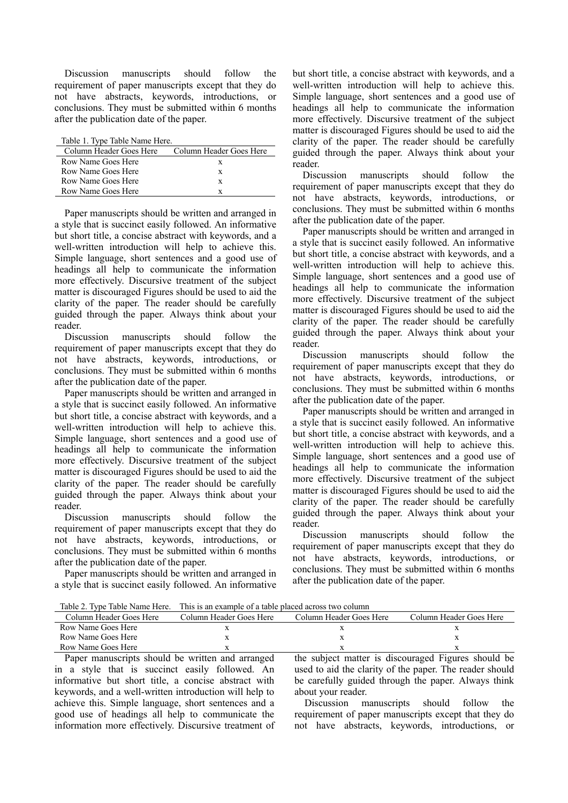Discussion manuscripts should follow the requirement of paper manuscripts except that they do not have abstracts, keywords, introductions, or conclusions. They must be submitted within 6 months after the publication date of the paper.

| Table 1. Type Table Name Here. |                           |  |
|--------------------------------|---------------------------|--|
| Column Header Goes Here        | - Column Header Goes Here |  |
| Row Name Goes Here             | x                         |  |
| Row Name Goes Here             | X                         |  |
| Row Name Goes Here             | X                         |  |
| Row Name Goes Here             | Y                         |  |

Paper manuscripts should be written and arranged in a style that is succinct easily followed. An informative but short title, a concise abstract with keywords, and a well-written introduction will help to achieve this. Simple language, short sentences and a good use of headings all help to communicate the information more effectively. Discursive treatment of the subject matter is discouraged Figures should be used to aid the clarity of the paper. The reader should be carefully guided through the paper. Always think about your reader.

Discussion manuscripts should follow the requirement of paper manuscripts except that they do not have abstracts, keywords, introductions, or conclusions. They must be submitted within 6 months after the publication date of the paper.

Paper manuscripts should be written and arranged in a style that is succinct easily followed. An informative but short title, a concise abstract with keywords, and a well-written introduction will help to achieve this. Simple language, short sentences and a good use of headings all help to communicate the information more effectively. Discursive treatment of the subject matter is discouraged Figures should be used to aid the clarity of the paper. The reader should be carefully guided through the paper. Always think about your reader.

Discussion manuscripts should follow the requirement of paper manuscripts except that they do not have abstracts, keywords, introductions, or conclusions. They must be submitted within 6 months after the publication date of the paper.

Paper manuscripts should be written and arranged in a style that is succinct easily followed. An informative

but short title, a concise abstract with keywords, and a well-written introduction will help to achieve this. Simple language, short sentences and a good use of headings all help to communicate the information more effectively. Discursive treatment of the subject matter is discouraged Figures should be used to aid the clarity of the paper. The reader should be carefully guided through the paper. Always think about your reader.

Discussion manuscripts should follow the requirement of paper manuscripts except that they do not have abstracts, keywords, introductions, or conclusions. They must be submitted within 6 months after the publication date of the paper.

Paper manuscripts should be written and arranged in a style that is succinct easily followed. An informative but short title, a concise abstract with keywords, and a well-written introduction will help to achieve this. Simple language, short sentences and a good use of headings all help to communicate the information more effectively. Discursive treatment of the subject matter is discouraged Figures should be used to aid the clarity of the paper. The reader should be carefully guided through the paper. Always think about your reader.

Discussion manuscripts should follow the requirement of paper manuscripts except that they do not have abstracts, keywords, introductions, or conclusions. They must be submitted within 6 months after the publication date of the paper.

Paper manuscripts should be written and arranged in a style that is succinct easily followed. An informative but short title, a concise abstract with keywords, and a well-written introduction will help to achieve this. Simple language, short sentences and a good use of headings all help to communicate the information more effectively. Discursive treatment of the subject matter is discouraged Figures should be used to aid the clarity of the paper. The reader should be carefully guided through the paper. Always think about your reader.

Discussion manuscripts should follow the requirement of paper manuscripts except that they do not have abstracts, keywords, introductions, or conclusions. They must be submitted within 6 months after the publication date of the paper.

Table 2. Type Table Name Here. This is an example of a table placed across two column

|                                                  | Table 2. Type Table Name Field. This is an example of a table placed across two column |                         |                                                     |
|--------------------------------------------------|----------------------------------------------------------------------------------------|-------------------------|-----------------------------------------------------|
| Column Header Goes Here                          | Column Header Goes Here                                                                | Column Header Goes Here | Column Header Goes Here                             |
| Row Name Goes Here                               |                                                                                        |                         |                                                     |
| Row Name Goes Here                               |                                                                                        |                         |                                                     |
| Row Name Goes Here                               |                                                                                        |                         |                                                     |
| Donor monuscripts should be written and erronood |                                                                                        |                         | the subject metter is discouraged Figures should be |

Paper manuscripts should be written and arranged in a style that is succinct easily followed. An informative but short title, a concise abstract with keywords, and a well-written introduction will help to achieve this. Simple language, short sentences and a good use of headings all help to communicate the information more effectively. Discursive treatment of

the subject matter is discouraged Figures should be used to aid the clarity of the paper. The reader should be carefully guided through the paper. Always think about your reader.

Discussion manuscripts should follow the requirement of paper manuscripts except that they do not have abstracts, keywords, introductions, or